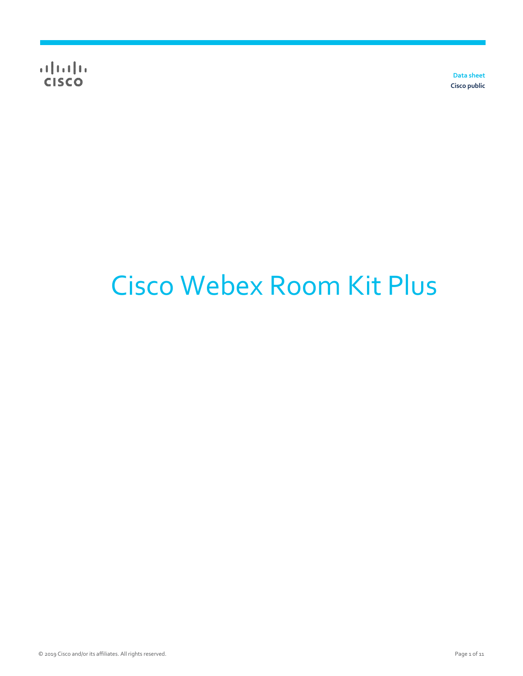**Data sheet Cisco public**

# Cisco Webex Room Kit Plus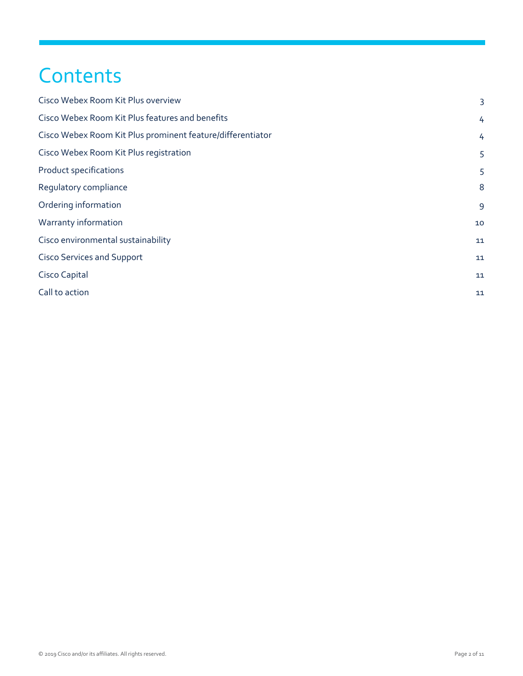## **Contents**

| 3  |
|----|
| 4  |
| 4  |
| 5  |
| 5  |
| 8  |
| 9  |
| 10 |
| 11 |
| 11 |
| 11 |
| 11 |
|    |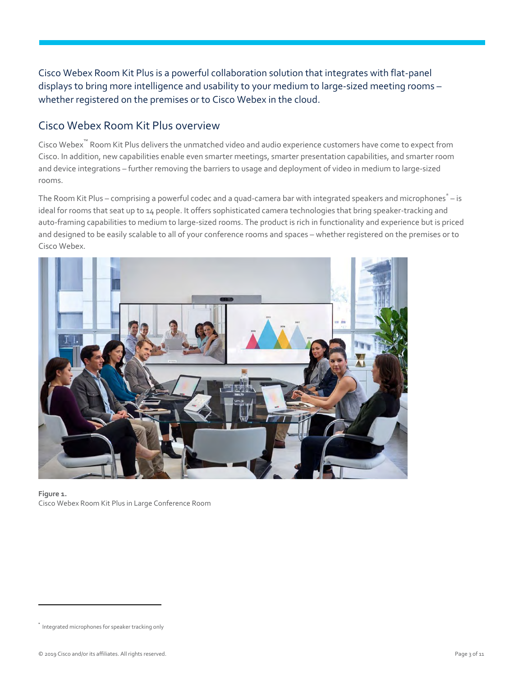Cisco Webex Room Kit Plus is a powerful collaboration solution that integrates with flat-panel displays to bring more intelligence and usability to your medium to large-sized meeting rooms – whether registered on the premises or to Cisco Webex in the cloud.

#### <span id="page-2-0"></span>Cisco Webex Room Kit Plus overview

Cisco Webex™ Room Kit Plus delivers the unmatched video and audio experience customers have come to expect from Cisco. In addition, new capabilities enable even smarter meetings, smarter presentation capabilities, and smarter room and device integrations – further removing the barriers to usage and deployment of video in medium to large-sized rooms.

The Room Kit Plus – comprising a powerful codec and a quad-camera bar with integrated speakers and microphones\* – is ideal for rooms that seat up to 14 people. It offers sophisticated camera technologies that bring speaker-tracking and auto-framing capabilities to medium to large-sized rooms. The product is rich in functionality and experience but is priced and designed to be easily scalable to all of your conference rooms and spaces – whether registered on the premises or to Cisco Webex.



**Figure 1.**  Cisco Webex Room Kit Plus in Large Conference Room

 $\overline{a}$ 

<sup>\*</sup> Integrated microphones for speaker tracking only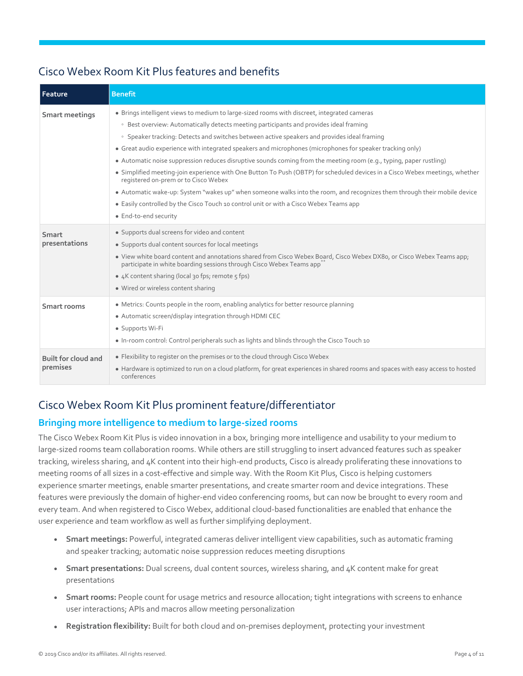| Feature                         | <b>Benefit</b>                                                                                                                                                                                                                                                                                                                                                                                                                                                                                                                                                                                                                                                                                                                                                                                                                                                                                                                                  |
|---------------------------------|-------------------------------------------------------------------------------------------------------------------------------------------------------------------------------------------------------------------------------------------------------------------------------------------------------------------------------------------------------------------------------------------------------------------------------------------------------------------------------------------------------------------------------------------------------------------------------------------------------------------------------------------------------------------------------------------------------------------------------------------------------------------------------------------------------------------------------------------------------------------------------------------------------------------------------------------------|
| Smart meetings                  | • Brings intelligent views to medium to large-sized rooms with discreet, integrated cameras<br>• Best overview: Automatically detects meeting participants and provides ideal framing<br>• Speaker tracking: Detects and switches between active speakers and provides ideal framing<br>• Great audio experience with integrated speakers and microphones (microphones for speaker tracking only)<br>• Automatic noise suppression reduces disruptive sounds coming from the meeting room (e.g., typing, paper rustling)<br>• Simplified meeting-join experience with One Button To Push (OBTP) for scheduled devices in a Cisco Webex meetings, whether<br>registered on-prem or to Cisco Webex<br>• Automatic wake-up: System "wakes up" when someone walks into the room, and recognizes them through their mobile device<br>• Easily controlled by the Cisco Touch 10 control unit or with a Cisco Webex Teams app<br>· End-to-end security |
| Smart<br>presentations          | • Supports dual screens for video and content<br>• Supports dual content sources for local meetings<br>. View white board content and annotations shared from Cisco Webex Board, Cisco Webex DX80, or Cisco Webex Teams app;<br>participate in white boarding sessions through Cisco Webex Teams app <sup>®</sup><br>• 4K content sharing (local 30 fps; remote 5 fps)<br>• Wired or wireless content sharing                                                                                                                                                                                                                                                                                                                                                                                                                                                                                                                                   |
| Smart rooms                     | • Metrics: Counts people in the room, enabling analytics for better resource planning<br>• Automatic screen/display integration through HDMI CEC<br>· Supports Wi-Fi<br>. In-room control: Control peripherals such as lights and blinds through the Cisco Touch 10                                                                                                                                                                                                                                                                                                                                                                                                                                                                                                                                                                                                                                                                             |
| Built for cloud and<br>premises | • Flexibility to register on the premises or to the cloud through Cisco Webex<br>• Hardware is optimized to run on a cloud platform, for great experiences in shared rooms and spaces with easy access to hosted<br>conferences                                                                                                                                                                                                                                                                                                                                                                                                                                                                                                                                                                                                                                                                                                                 |

#### <span id="page-3-0"></span>Cisco Webex Room Kit Plus features and benefits

#### <span id="page-3-1"></span>Cisco Webex Room Kit Plus prominent feature/differentiator

#### **Bringing more intelligence to medium to large-sized rooms**

The Cisco Webex Room Kit Plus is video innovation in a box, bringing more intelligence and usability to your medium to large-sized rooms team collaboration rooms. While others are still struggling to insert advanced features such as speaker tracking, wireless sharing, and 4K content into their high-end products, Cisco is already proliferating these innovations to meeting rooms of all sizes in a cost-effective and simple way. With the Room Kit Plus, Cisco is helping customers experience smarter meetings, enable smarter presentations, and create smarter room and device integrations. These features were previously the domain of higher-end video conferencing rooms, but can now be brought to every room and every team. And when registered to Cisco Webex, additional cloud-based functionalities are enabled that enhance the user experience and team workflow as well as further simplifying deployment.

- **Smart meetings:** Powerful, integrated cameras deliver intelligent view capabilities, such as automatic framing and speaker tracking; automatic noise suppression reduces meeting disruptions
- **Smart presentations:** Dual screens, dual content sources, wireless sharing, and 4K content make for great presentations
- **Smart rooms:** People count for usage metrics and resource allocation; tight integrations with screens to enhance user interactions; APIs and macros allow meeting personalization
- **Registration flexibility:** Built for both cloud and on-premises deployment, protecting your investment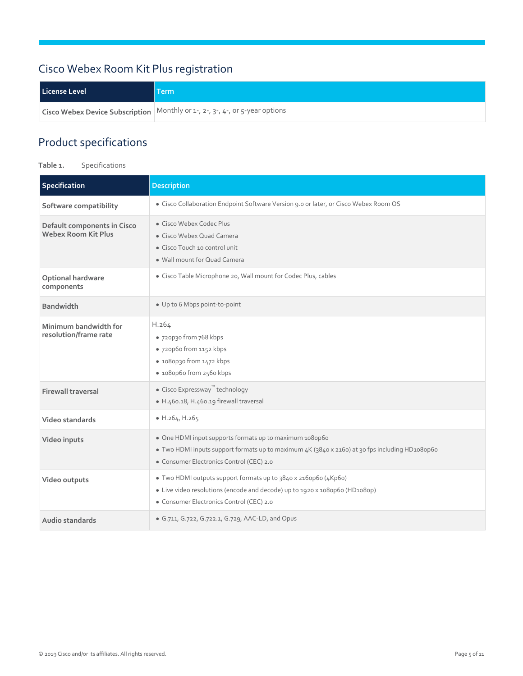### <span id="page-4-0"></span>Cisco Webex Room Kit Plus registration

| License Level | <b>Term</b>                                                                  |
|---------------|------------------------------------------------------------------------------|
|               | Cisco Webex Device Subscription Monthly or 1-, 2-, 3-, 4-, or 5-year options |

#### <span id="page-4-1"></span>Product specifications

**Table 1.** Specifications

| Specification                                      | <b>Description</b>                                                                                                                                                                                    |
|----------------------------------------------------|-------------------------------------------------------------------------------------------------------------------------------------------------------------------------------------------------------|
| Software compatibility                             | · Cisco Collaboration Endpoint Software Version 9.0 or later, or Cisco Webex Room OS                                                                                                                  |
| Default components in Cisco<br>Webex Room Kit Plus | • Cisco Webex Codec Plus<br>• Cisco Webex Quad Camera<br>• Cisco Touch 10 control unit<br>• Wall mount for Quad Camera                                                                                |
| Optional hardware<br>components                    | · Cisco Table Microphone 20, Wall mount for Codec Plus, cables                                                                                                                                        |
| <b>Bandwidth</b>                                   | • Up to 6 Mbps point-to-point                                                                                                                                                                         |
| Minimum bandwidth for<br>resolution/frame rate     | H.264<br>• 720p30 from 768 kbps<br>· 720p60 from 1152 kbps<br>· 1080p30 from 1472 kbps<br>· 1080p60 from 2560 kbps                                                                                    |
| <b>Firewall traversal</b>                          | ● Cisco Expressway <sup>™</sup> technology<br>· H.460.18, H.460.19 firewall traversal                                                                                                                 |
| Video standards                                    | $\bullet$ H.264, H.265                                                                                                                                                                                |
| Video inputs                                       | • One HDMI input supports formats up to maximum 1080p60<br>• Two HDMI inputs support formats up to maximum 4K (3840 x 2160) at 30 fps including HD1080p60<br>· Consumer Electronics Control (CEC) 2.0 |
| Video outputs                                      | • Two HDMI outputs support formats up to 3840 x 216op6o (4Kp6o)<br>• Live video resolutions (encode and decode) up to 1920 x 1080p60 (HD1080p)<br>• Consumer Electronics Control (CEC) 2.0            |
| Audio standards                                    | • G.711, G.722, G.722.1, G.729, AAC-LD, and Opus                                                                                                                                                      |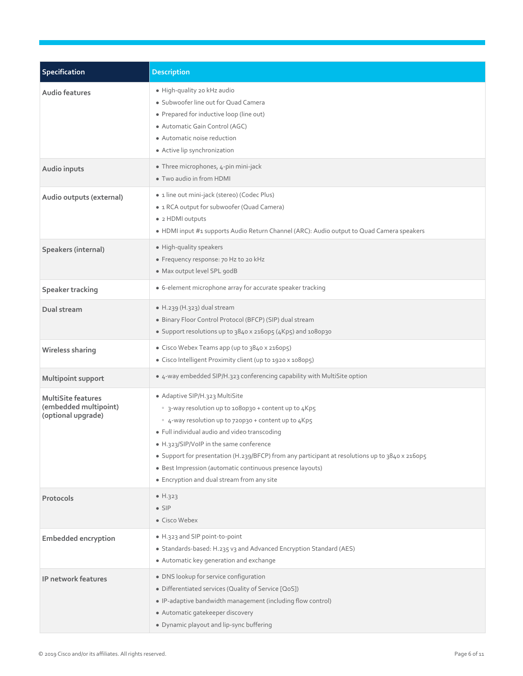| Specification                                                            | <b>Description</b>                                                                                                                                                                                                                                                                                                                                                                                                                                        |
|--------------------------------------------------------------------------|-----------------------------------------------------------------------------------------------------------------------------------------------------------------------------------------------------------------------------------------------------------------------------------------------------------------------------------------------------------------------------------------------------------------------------------------------------------|
| Audio features                                                           | · High-quality 20 kHz audio<br>· Subwoofer line out for Quad Camera<br>• Prepared for inductive loop (line out)<br>· Automatic Gain Control (AGC)<br>• Automatic noise reduction<br>• Active lip synchronization                                                                                                                                                                                                                                          |
| Audio inputs                                                             | • Three microphones, 4-pin mini-jack<br>• Two audio in from HDMI                                                                                                                                                                                                                                                                                                                                                                                          |
| Audio outputs (external)                                                 | · 1 line out mini-jack (stereo) (Codec Plus)<br>• 1 RCA output for subwoofer (Quad Camera)<br>• 2 HDMI outputs<br>. HDMI input #1 supports Audio Return Channel (ARC): Audio output to Quad Camera speakers                                                                                                                                                                                                                                               |
| Speakers (internal)                                                      | · High-quality speakers<br>· Frequency response: 70 Hz to 20 kHz<br>· Max output level SPL godB                                                                                                                                                                                                                                                                                                                                                           |
| Speaker tracking                                                         | • 6-element microphone array for accurate speaker tracking                                                                                                                                                                                                                                                                                                                                                                                                |
| Dual stream                                                              | · H.239 (H.323) dual stream<br>· Binary Floor Control Protocol (BFCP) (SIP) dual stream<br>• Support resolutions up to 3840 x 2160p5 (4Kp5) and 1080p30                                                                                                                                                                                                                                                                                                   |
| Wireless sharing                                                         | • Cisco Webex Teams app (up to 3840 x 2160p5)<br>• Cisco Intelligent Proximity client (up to 1920 x 1080p5)                                                                                                                                                                                                                                                                                                                                               |
| Multipoint support                                                       | • 4-way embedded SIP/H.323 conferencing capability with MultiSite option                                                                                                                                                                                                                                                                                                                                                                                  |
| <b>MultiSite features</b><br>(embedded multipoint)<br>(optional upgrade) | • Adaptive SIP/H.323 MultiSite<br>• 3-way resolution up to 1080p30 + content up to 4Kp5<br>• 4-way resolution up to 720p30 + content up to 4Kp5<br>· Full individual audio and video transcoding<br>• H.323/SIP/VoIP in the same conference<br>• Support for presentation (H.239/BFCP) from any participant at resolutions up to 3840 x 2160p5<br>· Best Impression (automatic continuous presence layouts)<br>• Encryption and dual stream from any site |
| Protocols                                                                | • $H.323$<br>$\bullet$ SIP<br>• Cisco Webex                                                                                                                                                                                                                                                                                                                                                                                                               |
| <b>Embedded encryption</b>                                               | • H.323 and SIP point-to-point<br>• Standards-based: H.235 v3 and Advanced Encryption Standard (AES)<br>• Automatic key generation and exchange                                                                                                                                                                                                                                                                                                           |
| IP network features                                                      | • DNS lookup for service configuration<br>• Differentiated services (Quality of Service [QoS])<br>• IP-adaptive bandwidth management (including flow control)<br>· Automatic gatekeeper discovery<br>• Dynamic playout and lip-sync buffering                                                                                                                                                                                                             |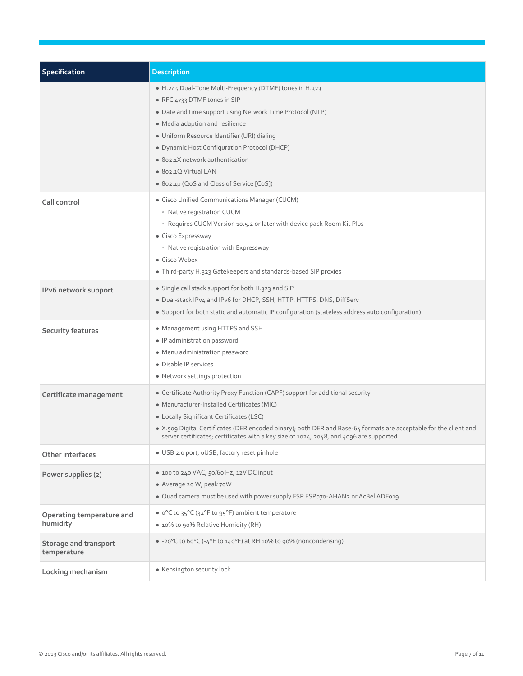| <b>Specification</b>                  | <b>Description</b>                                                                                                                                                                                                                                                                                                                                                                             |
|---------------------------------------|------------------------------------------------------------------------------------------------------------------------------------------------------------------------------------------------------------------------------------------------------------------------------------------------------------------------------------------------------------------------------------------------|
|                                       | . H.245 Dual-Tone Multi-Frequency (DTMF) tones in H.323<br>• RFC 4733 DTMF tones in SIP<br>• Date and time support using Network Time Protocol (NTP)<br>• Media adaption and resilience<br>• Uniform Resource Identifier (URI) dialing<br>· Dynamic Host Configuration Protocol (DHCP)<br>• 802.1X network authentication<br>· 802.1Q Virtual LAN<br>• 802.1p (QoS and Class of Service [CoS]) |
| Call control                          | • Cisco Unified Communications Manager (CUCM)<br>• Native registration CUCM<br><sup>o</sup> Requires CUCM Version 10.5.2 or later with device pack Room Kit Plus<br>• Cisco Expressway<br>• Native registration with Expressway<br>• Cisco Webex<br>• Third-party H.323 Gatekeepers and standards-based SIP proxies                                                                            |
| IPv6 network support                  | • Single call stack support for both H.323 and SIP<br>. Dual-stack IPv4 and IPv6 for DHCP, SSH, HTTP, HTTPS, DNS, DiffServ<br>· Support for both static and automatic IP configuration (stateless address auto configuration)                                                                                                                                                                  |
| <b>Security features</b>              | • Management using HTTPS and SSH<br>• IP administration password<br>• Menu administration password<br>• Disable IP services<br>• Network settings protection                                                                                                                                                                                                                                   |
| Certificate management                | • Certificate Authority Proxy Function (CAPF) support for additional security<br>· Manufacturer-Installed Certificates (MIC)<br>• Locally Significant Certificates (LSC)<br>• X.509 Digital Certificates (DER encoded binary); both DER and Base-64 formats are acceptable for the client and<br>server certificates; certificates with a key size of 1024, 2048, and 4096 are supported       |
| Other interfaces                      | · USB 2.0 port, uUSB, factory reset pinhole                                                                                                                                                                                                                                                                                                                                                    |
| Power supplies (2)                    | • 100 to 240 VAC, 50/60 Hz, 12V DC input<br>• Average 20 W, peak 70W<br>. Quad camera must be used with power supply FSP FSP070-AHAN2 or AcBel ADF019                                                                                                                                                                                                                                          |
| Operating temperature and<br>humidity | • o°C to 35°C (32°F to 95°F) ambient temperature<br>• 10% to 90% Relative Humidity (RH)                                                                                                                                                                                                                                                                                                        |
| Storage and transport<br>temperature  | • -20°C to 60°C (-4°F to 140°F) at RH 10% to 90% (noncondensing)                                                                                                                                                                                                                                                                                                                               |
| Locking mechanism                     | • Kensington security lock                                                                                                                                                                                                                                                                                                                                                                     |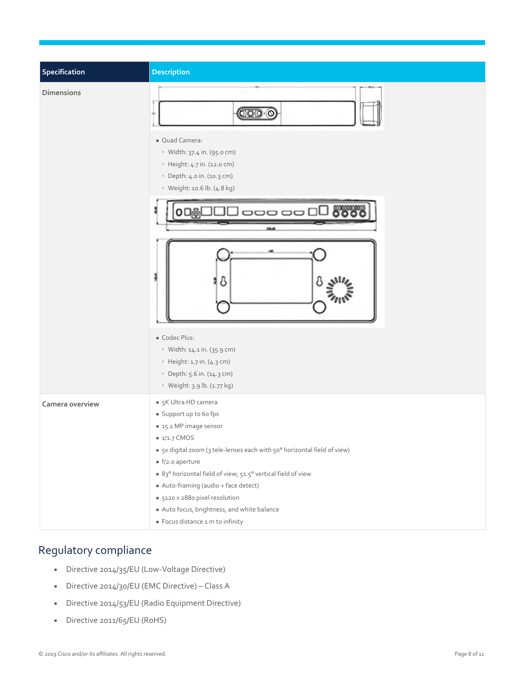| Specification     | Description                                                                                                                                                                                                                                                                                                                                                                                                                           |
|-------------------|---------------------------------------------------------------------------------------------------------------------------------------------------------------------------------------------------------------------------------------------------------------------------------------------------------------------------------------------------------------------------------------------------------------------------------------|
| <b>Dimensions</b> | $\overline{OOO}\cdot\overline{O}$<br>· Quad Camera:<br>· Width: 37.4 in. (95.0 cm)<br>• Height: 4.7 in. (12.0 cm)<br>· Depth: 4.0 in. (10.3 cm)<br>· Weight: 10.6 lb. (4.8 kg)<br>) oo oo<br>δ<br>· Codec Plus:<br>· Width: 14.1 in. (35.9 cm)<br>$\circ$ Height: 1.7 in. (4.3 cm)<br>· Depth: 5.6 in. (14.3 cm)<br>· Weight: 3.9 lb. (1.77 kg)                                                                                       |
| Camera overview   | • 5K Ultra HD camera<br>· Support up to 6o fps<br>• 15.1 MP image sensor<br>$\bullet$ 1/1.7 CMOS<br>• 5x digital zoom (3 tele-lenses each with 50° horizontal field of view)<br>$\bullet$ f/2.0 aperture<br>· 83° horizontal field of view; 51.5° vertical field of view<br>• Auto-framing (audio + face detect)<br>· 5120 x 2880 pixel resolution<br>· Auto focus, brightness, and white balance<br>• Focus distance 1 m to infinity |

#### <span id="page-7-0"></span>Regulatory compliance

- Directive 2014/35/EU (Low-Voltage Directive)
- Directive 2014/30/EU (EMC Directive) Class A
- Directive 2014/53/EU (Radio Equipment Directive)
- Directive 2011/65/EU (RoHS)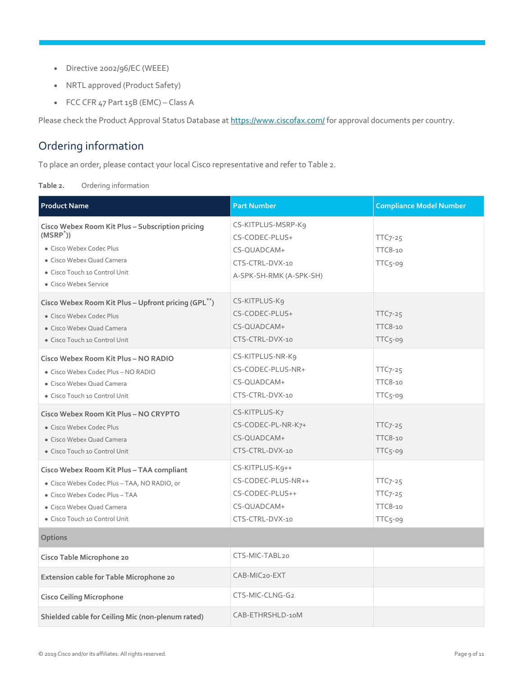- Directive 2002/96/EC (WEEE)
- NRTL approved (Product Safety)
- FCC CFR 47 Part 15B (EMC) Class A

Please check the Product Approval Status Database a[t https://www.ciscofax.com/ f](https://www.ciscofax.com/)or approval documents per country.

#### <span id="page-8-0"></span>Ordering information

To place an order, please contact your local Cisco representative and refer to Table 2.

| Ordering information<br>Table 2. |
|----------------------------------|
|----------------------------------|

| <b>Product Name</b>                                                                                                                                                                       | <b>Part Number</b>                                                                                | <b>Compliance Model Number</b>                        |
|-------------------------------------------------------------------------------------------------------------------------------------------------------------------------------------------|---------------------------------------------------------------------------------------------------|-------------------------------------------------------|
| Cisco Webex Room Kit Plus - Subscription pricing<br>$(MSRP^*)$<br>• Cisco Webex Codec Plus<br>· Cisco Webex Quad Camera<br>• Cisco Touch 10 Control Unit<br>• Cisco Webex Service         | CS-KITPLUS-MSRP-K9<br>CS-CODEC-PLUS+<br>CS-QUADCAM+<br>CTS-CTRL-DVX-10<br>A-SPK-SH-RMK (A-SPK-SH) | $TTC7-25$<br><b>TTC8-10</b><br>TTC5-09                |
| Cisco Webex Room Kit Plus - Upfront pricing (GPL <sup>**</sup> )<br>• Cisco Webex Codec Plus<br>· Cisco Webex Quad Camera<br>• Cisco Touch 10 Control Unit                                | CS-KITPLUS-K9<br>CS-CODEC-PLUS+<br>CS-OUADCAM+<br>CTS-CTRL-DVX-10                                 | $TTC7-25$<br><b>TTC8-10</b><br>$TTC5$ -09             |
| Cisco Webex Room Kit Plus - NO RADIO<br>• Cisco Webex Codec Plus - NO RADIO<br>• Cisco Webex Quad Camera<br>• Cisco Touch 10 Control Unit                                                 | CS-KITPLUS-NR-K9<br>CS-CODEC-PLUS-NR+<br>CS-QUADCAM+<br>CTS-CTRL-DVX-10                           | $TTC7-25$<br><b>TTC8-10</b><br>$TTC5-09$              |
| Cisco Webex Room Kit Plus - NO CRYPTO<br>• Cisco Webex Codec Plus<br>• Cisco Webex Quad Camera<br>• Cisco Touch 10 Control Unit                                                           | CS-KITPLUS-K7<br>CS-CODEC-PL-NR-K7+<br>CS-QUADCAM+<br>CTS-CTRL-DVX-10                             | $TTC7-25$<br><b>TTC8-10</b><br>$TTC5$ -09             |
| Cisco Webex Room Kit Plus - TAA compliant<br>· Cisco Webex Codec Plus - TAA, NO RADIO, or<br>· Cisco Webex Codec Plus - TAA<br>• Cisco Webex Quad Camera<br>• Cisco Touch 10 Control Unit | CS-KITPLUS-K9++<br>CS-CODEC-PLUS-NR++<br>CS-CODEC-PLUS++<br>CS-QUADCAM+<br>CTS-CTRL-DVX-10        | $TTC7-25$<br>$TTC7-25$<br><b>TTC8-10</b><br>$TTC5-09$ |
| Options                                                                                                                                                                                   |                                                                                                   |                                                       |
| Cisco Table Microphone 20                                                                                                                                                                 | CTS-MIC-TABL20                                                                                    |                                                       |
| Extension cable for Table Microphone 20                                                                                                                                                   | CAB-MIC20-EXT                                                                                     |                                                       |
| <b>Cisco Ceiling Microphone</b>                                                                                                                                                           | CTS-MIC-CLNG-G2                                                                                   |                                                       |
| Shielded cable for Ceiling Mic (non-plenum rated)                                                                                                                                         | CAB-ETHRSHLD-10M                                                                                  |                                                       |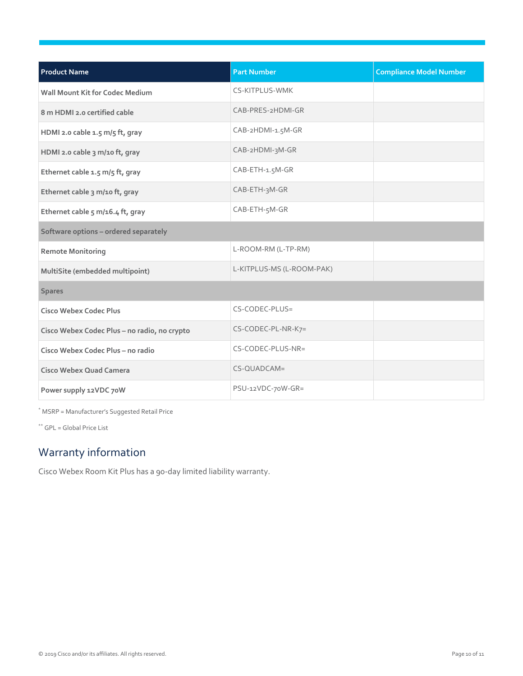| <b>Product Name</b>                          | <b>Part Number</b>        | <b>Compliance Model Number</b> |  |
|----------------------------------------------|---------------------------|--------------------------------|--|
| <b>Wall Mount Kit for Codec Medium</b>       | <b>CS-KITPLUS-WMK</b>     |                                |  |
| 8 m HDMI 2.0 certified cable                 | CAB-PRES-2HDMI-GR         |                                |  |
| HDMI 2.0 cable 1.5 m/5 ft, gray              | CAB-2HDMI-1.5M-GR         |                                |  |
| HDMI 2.0 cable 3 m/10 ft, gray               | CAB-2HDMI-3M-GR           |                                |  |
| Ethernet cable 1.5 m/5 ft, gray              | CAB-ETH-1.5M-GR           |                                |  |
| Ethernet cable 3 m/10 ft, gray               | CAB-ETH-3M-GR             |                                |  |
| Ethernet cable 5 m/16.4 ft, gray             | CAB-ETH-5M-GR             |                                |  |
| Software options - ordered separately        |                           |                                |  |
| <b>Remote Monitoring</b>                     | L-ROOM-RM (L-TP-RM)       |                                |  |
| MultiSite (embedded multipoint)              | L-KITPLUS-MS (L-ROOM-PAK) |                                |  |
| <b>Spares</b>                                |                           |                                |  |
| <b>Cisco Webex Codec Plus</b>                | CS-CODEC-PLUS=            |                                |  |
| Cisco Webex Codec Plus - no radio, no crypto | CS-CODEC-PL-NR-K7=        |                                |  |
| Cisco Webex Codec Plus - no radio            | CS-CODEC-PLUS-NR=         |                                |  |
| Cisco Webex Quad Camera                      | CS-QUADCAM=               |                                |  |
| Power supply 12VDC 70W                       | PSU-12VDC-70W-GR=         |                                |  |

\* MSRP = Manufacturer's Suggested Retail Price

\*\* GPL = Global Price List

#### <span id="page-9-0"></span>Warranty information

Cisco Webex Room Kit Plus has a 90-day limited liability warranty.